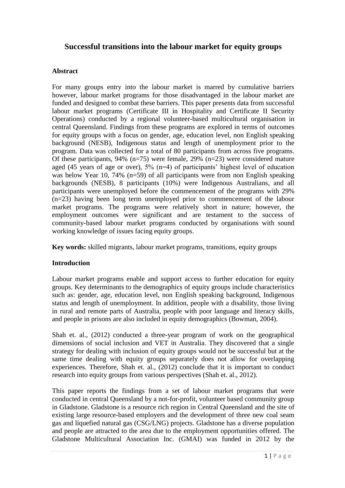# **Successful transitions into the labour market for equity groups**

### **Abstract**

For many groups entry into the labour market is marred by cumulative barriers however, labour market programs for those disadvantaged in the labour market are funded and designed to combat these barriers. This paper presents data from successful labour market programs (Certificate III in Hospitality and Certificate II Security Operations) conducted by a regional volunteer-based multicultural organisation in central Queensland. Findings from these programs are explored in terms of outcomes for equity groups with a focus on gender, age, education level, non English speaking background (NESB), Indigenous status and length of unemployment prior to the program. Data was collected for a total of 80 participants from across five programs. Of these participants, 94%  $(n=75)$  were female, 29%  $(n=23)$  were considered mature aged (45 years of age or over), 5% (n=4) of participants' highest level of education was below Year 10, 74% (n=59) of all participants were from non English speaking backgrounds (NESB), 8 participants (10%) were Indigenous Australians, and all participants were unemployed before the commencement of the programs with 29% (n=23) having been long term unemployed prior to commencement of the labour market programs. The programs were relatively short in nature; however, the employment outcomes were significant and are testament to the success of community-based labour market programs conducted by organisations with sound working knowledge of issues facing equity groups.

**Key words:** skilled migrants, labour market programs, transitions, equity groups

### **Introduction**

Labour market programs enable and support access to further education for equity groups. Key determinants to the demographics of equity groups include characteristics such as: gender, age, education level, non English speaking background, Indigenous status and length of unemployment. In addition, people with a disability, those living in rural and remote parts of Australia, people with poor language and literacy skills, and people in prisons are also included in equity demographics (Bowman, 2004).

Shah et. al., (2012) conducted a three-year program of work on the geographical dimensions of social inclusion and VET in Australia. They discovered that a single strategy for dealing with inclusion of equity groups would not be successful but at the same time dealing with equity groups separately does not allow for overlapping experiences. Therefore, Shah et. al., (2012) conclude that it is important to conduct research into equity groups from various perspectives (Shah et. al., 2012).

This paper reports the findings from a set of labour market programs that were conducted in central Queensland by a not-for-profit, volunteer based community group in Gladstone. Gladstone is a resource rich region in Central Queensland and the site of existing large resource-based employers and the development of three new coal seam gas and liquefied natural gas (CSG/LNG) projects. Gladstone has a diverse population and people are attracted to the area due to the employment opportunities offered. The Gladstone Multicultural Association Inc. (GMAI) was funded in 2012 by the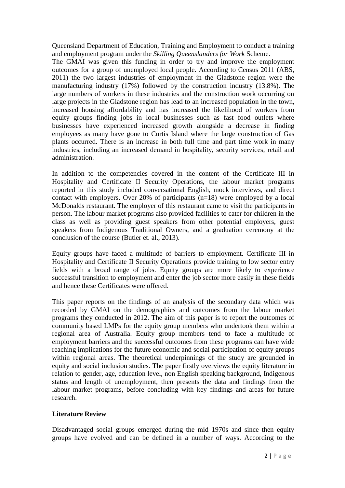Queensland Department of Education, Training and Employment to conduct a training and employment program under the *Skilling Queenslanders for Work* Scheme.

The GMAI was given this funding in order to try and improve the employment outcomes for a group of unemployed local people. According to Census 2011 (ABS, 2011) the two largest industries of employment in the Gladstone region were the manufacturing industry (17%) followed by the construction industry (13.8%). The large numbers of workers in these industries and the construction work occurring on large projects in the Gladstone region has lead to an increased population in the town, increased housing affordability and has increased the likelihood of workers from equity groups finding jobs in local businesses such as fast food outlets where businesses have experienced increased growth alongside a decrease in finding employees as many have gone to Curtis Island where the large construction of Gas plants occurred. There is an increase in both full time and part time work in many industries, including an increased demand in hospitality, security services, retail and administration.

In addition to the competencies covered in the content of the Certificate III in Hospitality and Certificate II Security Operations, the labour market programs reported in this study included conversational English, mock interviews, and direct contact with employers. Over 20% of participants (n=18) were employed by a local McDonalds restaurant. The employer of this restaurant came to visit the participants in person. The labour market programs also provided facilities to cater for children in the class as well as providing guest speakers from other potential employers, guest speakers from Indigenous Traditional Owners, and a graduation ceremony at the conclusion of the course (Butler et. al., 2013).

Equity groups have faced a multitude of barriers to employment. Certificate III in Hospitality and Certificate II Security Operations provide training to low sector entry fields with a broad range of jobs. Equity groups are more likely to experience successful transition to employment and enter the job sector more easily in these fields and hence these Certificates were offered.

This paper reports on the findings of an analysis of the secondary data which was recorded by GMAI on the demographics and outcomes from the labour market programs they conducted in 2012. The aim of this paper is to report the outcomes of community based LMPs for the equity group members who undertook them within a regional area of Australia. Equity group members tend to face a multitude of employment barriers and the successful outcomes from these programs can have wide reaching implications for the future economic and social participation of equity groups within regional areas. The theoretical underpinnings of the study are grounded in equity and social inclusion studies. The paper firstly overviews the equity literature in relation to gender, age, education level, non English speaking background, Indigenous status and length of unemployment, then presents the data and findings from the labour market programs, before concluding with key findings and areas for future research.

## **Literature Review**

Disadvantaged social groups emerged during the mid 1970s and since then equity groups have evolved and can be defined in a number of ways. According to the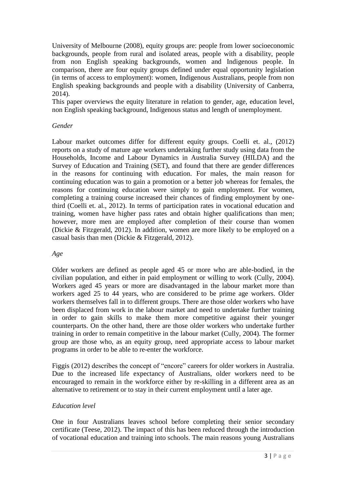University of Melbourne (2008), equity groups are: people from lower socioeconomic backgrounds, people from rural and isolated areas, people with a disability, people from non English speaking backgrounds, women and Indigenous people. In comparison, there are four equity groups defined under equal opportunity legislation (in terms of access to employment): women, Indigenous Australians, people from non English speaking backgrounds and people with a disability (University of Canberra, 2014).

This paper overviews the equity literature in relation to gender, age, education level, non English speaking background, Indigenous status and length of unemployment.

### *Gender*

Labour market outcomes differ for different equity groups. Coelli et. al., (2012) reports on a study of mature age workers undertaking further study using data from the Households, Income and Labour Dynamics in Australia Survey (HILDA) and the Survey of Education and Training (SET), and found that there are gender differences in the reasons for continuing with education. For males, the main reason for continuing education was to gain a promotion or a better job whereas for females, the reasons for continuing education were simply to gain employment. For women, completing a training course increased their chances of finding employment by onethird (Coelli et. al., 2012). In terms of participation rates in vocational education and training, women have higher pass rates and obtain higher qualifications than men; however, more men are employed after completion of their course than women (Dickie & Fitzgerald, 2012). In addition, women are more likely to be employed on a casual basis than men (Dickie & Fitzgerald, 2012).

## *Age*

Older workers are defined as people aged 45 or more who are able-bodied, in the civilian population, and either in paid employment or willing to work (Cully, 2004). Workers aged 45 years or more are disadvantaged in the labour market more than workers aged 25 to 44 years, who are considered to be prime age workers. Older workers themselves fall in to different groups. There are those older workers who have been displaced from work in the labour market and need to undertake further training in order to gain skills to make them more competitive against their younger counterparts. On the other hand, there are those older workers who undertake further training in order to remain competitive in the labour market (Cully, 2004). The former group are those who, as an equity group, need appropriate access to labour market programs in order to be able to re-enter the workforce.

Figgis (2012) describes the concept of "encore" careers for older workers in Australia. Due to the increased life expectancy of Australians, older workers need to be encouraged to remain in the workforce either by re-skilling in a different area as an alternative to retirement or to stay in their current employment until a later age.

## *Education level*

One in four Australians leaves school before completing their senior secondary certificate (Teese, 2012). The impact of this has been reduced through the introduction of vocational education and training into schools. The main reasons young Australians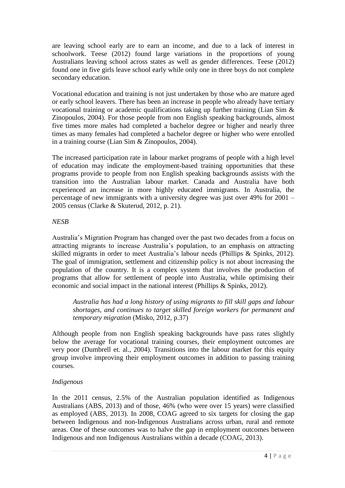are leaving school early are to earn an income, and due to a lack of interest in schoolwork. Teese (2012) found large variations in the proportions of young Australians leaving school across states as well as gender differences. Teese (2012) found one in five girls leave school early while only one in three boys do not complete secondary education.

Vocational education and training is not just undertaken by those who are mature aged or early school leavers. There has been an increase in people who already have tertiary vocational training or academic qualifications taking up further training (Lian Sim & Zinopoulos, 2004). For those people from non English speaking backgrounds, almost five times more males had completed a bachelor degree or higher and nearly three times as many females had completed a bachelor degree or higher who were enrolled in a training course (Lian Sim & Zinopoulos, 2004).

The increased participation rate in labour market programs of people with a high level of education may indicate the employment-based training opportunities that these programs provide to people from non English speaking backgrounds assists with the transition into the Australian labour market. Canada and Australia have both experienced an increase in more highly educated immigrants. In Australia, the percentage of new immigrants with a university degree was just over 49% for 2001 – 2005 census (Clarke & Skuterud, 2012, p. 21).

### *NESB*

Australia's Migration Program has changed over the past two decades from a focus on attracting migrants to increase Australia's population, to an emphasis on attracting skilled migrants in order to meet Australia's labour needs (Phillips & Spinks, 2012). The goal of immigration, settlement and citizenship policy is not about increasing the population of the country. It is a complex system that involves the production of programs that allow for settlement of people into Australia, while optimising their economic and social impact in the national interest (Phillips & Spinks, 2012).

*Australia has had a long history of using migrants to fill skill gaps and labour shortages, and continues to target skilled foreign workers for permanent and temporary migration* (Misko, 2012, p.37)

Although people from non English speaking backgrounds have pass rates slightly below the average for vocational training courses, their employment outcomes are very poor (Dumbrell et. al., 2004). Transitions into the labour market for this equity group involve improving their employment outcomes in addition to passing training courses.

## *Indigenous*

In the 2011 census, 2.5% of the Australian population identified as Indigenous Australians (ABS, 2013) and of those, 46% (who were over 15 years) were classified as employed (ABS, 2013). In 2008, COAG agreed to six targets for closing the gap between Indigenous and non-Indigenous Australians across urban, rural and remote areas. One of these outcomes was to halve the gap in employment outcomes between Indigenous and non Indigenous Australians within a decade (COAG, 2013).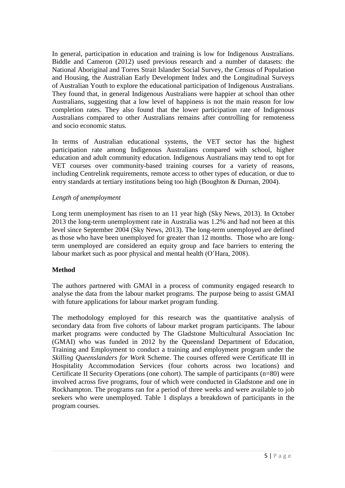In general, participation in education and training is low for Indigenous Australians. Biddle and Cameron (2012) used previous research and a number of datasets: the National Aboriginal and Torres Strait Islander Social Survey, the Census of Population and Housing, the Australian Early Development Index and the Longitudinal Surveys of Australian Youth to explore the educational participation of Indigenous Australians. They found that, in general Indigenous Australians were happier at school than other Australians, suggesting that a low level of happiness is not the main reason for low completion rates. They also found that the lower participation rate of Indigenous Australians compared to other Australians remains after controlling for remoteness and socio economic status.

In terms of Australian educational systems, the VET sector has the highest participation rate among Indigenous Australians compared with school, higher education and adult community education. Indigenous Australians may tend to opt for VET courses over community-based training courses for a variety of reasons, including Centrelink requirements, remote access to other types of education, or due to entry standards at tertiary institutions being too high (Boughton & Durnan, 2004).

### *Length of unemployment*

Long term unemployment has risen to an 11 year high (Sky News, 2013). In October 2013 the long-term unemployment rate in Australia was 1.2% and had not been at this level since September 2004 (Sky News, 2013). The long-term unemployed are defined as those who have been unemployed for greater than 12 months. Those who are longterm unemployed are considered an equity group and face barriers to entering the labour market such as poor physical and mental health (O'Hara, 2008).

### **Method**

The authors partnered with GMAI in a process of community engaged research to analyse the data from the labour market programs. The purpose being to assist GMAI with future applications for labour market program funding.

The methodology employed for this research was the quantitative analysis of secondary data from five cohorts of labour market program participants. The labour market programs were conducted by The Gladstone Multicultural Association Inc (GMAI) who was funded in 2012 by the Queensland Department of Education, Training and Employment to conduct a training and employment program under the *Skilling Queenslanders for Work* Scheme. The courses offered were Certificate III in Hospitality Accommodation Services (four cohorts across two locations) and Certificate II Security Operations (one cohort). The sample of participants (n=80) were involved across five programs, four of which were conducted in Gladstone and one in Rockhampton. The programs ran for a period of three weeks and were available to job seekers who were unemployed. Table 1 displays a breakdown of participants in the program courses.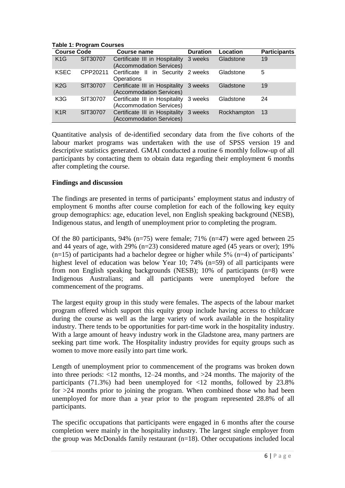| <b>Course Code</b> |          | Course name                                                        | <b>Duration</b> | Location    | <b>Participants</b> |
|--------------------|----------|--------------------------------------------------------------------|-----------------|-------------|---------------------|
| K1G                | SIT30707 | Certificate III in Hospitality<br>(Accommodation Services)         | 3 weeks         | Gladstone   | 19                  |
| <b>KSEC</b>        | CPP20211 | Certificate II in Security 2 weeks<br>Operations                   |                 | Gladstone   | 5                   |
| K2G                | SIT30707 | Certificate III in Hospitality 3 weeks<br>(Accommodation Services) |                 | Gladstone   | 19                  |
| K <sub>3</sub> G   | SIT30707 | Certificate III in Hospitality 3 weeks<br>(Accommodation Services) |                 | Gladstone   | 24                  |
| K <sub>1</sub> R   | SIT30707 | Certificate III in Hospitality<br>(Accommodation Services)         | 3 weeks         | Rockhampton | 13                  |

**Table 1: Program Courses**

Quantitative analysis of de-identified secondary data from the five cohorts of the labour market programs was undertaken with the use of SPSS version 19 and descriptive statistics generated. GMAI conducted a routine 6 monthly follow-up of all participants by contacting them to obtain data regarding their employment 6 months after completing the course.

### **Findings and discussion**

The findings are presented in terms of participants' employment status and industry of employment 6 months after course completion for each of the following key equity group demographics: age, education level, non English speaking background (NESB), Indigenous status, and length of unemployment prior to completing the program.

Of the 80 participants, 94% (n=75) were female; 71% (n=47) were aged between 25 and 44 years of age, with 29% (n=23) considered mature aged (45 years or over); 19%  $(n=15)$  of participants had a bachelor degree or higher while 5%  $(n=4)$  of participants' highest level of education was below Year 10; 74% (n=59) of all participants were from non English speaking backgrounds (NESB); 10% of participants  $(n=8)$  were Indigenous Australians; and all participants were unemployed before the commencement of the programs.

The largest equity group in this study were females. The aspects of the labour market program offered which support this equity group include having access to childcare during the course as well as the large variety of work available in the hospitality industry. There tends to be opportunities for part-time work in the hospitality industry. With a large amount of heavy industry work in the Gladstone area, many partners are seeking part time work. The Hospitality industry provides for equity groups such as women to move more easily into part time work.

Length of unemployment prior to commencement of the programs was broken down into three periods: <12 months, 12–24 months, and >24 months. The majority of the participants (71.3%) had been unemployed for  $\langle 12 \rangle$  months, followed by 23.8% for  $>24$  months prior to joining the program. When combined those who had been unemployed for more than a year prior to the program represented 28.8% of all participants.

The specific occupations that participants were engaged in 6 months after the course completion were mainly in the hospitality industry. The largest single employer from the group was McDonalds family restaurant (n=18). Other occupations included local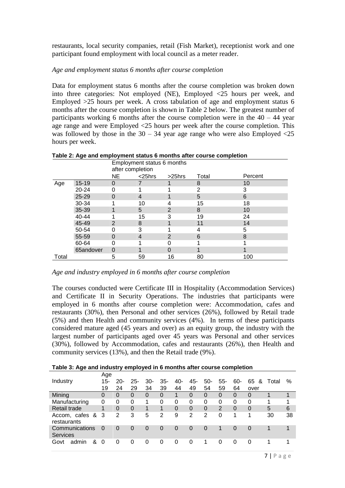restaurants, local security companies, retail (Fish Market), receptionist work and one participant found employment with local council as a meter reader.

### *Age and employment status 6 months after course completion*

Data for employment status 6 months after the course completion was broken down into three categories: Not employed (NE), Employed  $\langle 25 \rangle$  hours per week, and Employed >25 hours per week. A cross tabulation of age and employment status 6 months after the course completion is shown in Table 2 below. The greatest number of participants working 6 months after the course completion were in the  $40 - 44$  year age range and were Employed <25 hours per week after the course completion. This was followed by those in the  $30 - 34$  year age range who were also Employed  $\langle 25 \rangle$ hours per week.

|       | Table 2: Age and employment status 6 months after course completion<br>Employment status 6 months |                  |               |                |                |         |  |  |  |  |  |  |
|-------|---------------------------------------------------------------------------------------------------|------------------|---------------|----------------|----------------|---------|--|--|--|--|--|--|
|       |                                                                                                   |                  |               |                |                |         |  |  |  |  |  |  |
|       |                                                                                                   | after completion |               |                |                |         |  |  |  |  |  |  |
|       |                                                                                                   | NE.              | $<$ 25 $h$ rs | $>25$ hrs      | Total          | Percent |  |  |  |  |  |  |
| Age   | $15 - 19$                                                                                         | 0                |               |                | 8              | 10      |  |  |  |  |  |  |
|       | 20-24                                                                                             | O                |               |                | $\overline{2}$ | 3       |  |  |  |  |  |  |
|       | $25 - 29$                                                                                         | 0                | 4             |                | 5              | 6       |  |  |  |  |  |  |
|       | 30-34                                                                                             |                  | 10            | 4              | 15             | 18      |  |  |  |  |  |  |
|       | 35-39                                                                                             |                  | 5             | $\overline{2}$ | 8              | 10      |  |  |  |  |  |  |
|       | 40-44                                                                                             |                  | 15            | 3              | 19             | 24      |  |  |  |  |  |  |
|       | 45-49                                                                                             | $\mathcal{P}$    | 8             |                | 11             | 14      |  |  |  |  |  |  |
|       | 50-54                                                                                             |                  | 3             |                | 4              | 5       |  |  |  |  |  |  |
|       | 55-59                                                                                             | O                | 4             | 2              | 6              | 8       |  |  |  |  |  |  |
|       | 60-64                                                                                             |                  |               |                |                |         |  |  |  |  |  |  |
|       | 65andover                                                                                         | 0                |               |                |                |         |  |  |  |  |  |  |
| Total |                                                                                                   | 5                | 59            | 16             | 80             | 100     |  |  |  |  |  |  |

**Table 2: Age and employment status 6 months after course completion**

#### *Age and industry employed in 6 months after course completion*

The courses conducted were Certificate III in Hospitality (Accommodation Services) and Certificate II in Security Operations. The industries that participants were employed in 6 months after course completion were: Accommodation, cafes and restaurants (30%), then Personal and other services (26%), followed by Retail trade (5%) and then Health and community services (4%). In terms of these participants considered mature aged (45 years and over) as an equity group, the industry with the largest number of participants aged over 45 years was Personal and other services (30%), followed by Accommodation, cafes and restaurants (26%), then Health and community services (13%), and then the Retail trade (9%).

**Table 3: Age and industry employed in 6 months after course completion**

|                                   | Age      |          |          |          |             |          |     |          |          |          |          |       |    |
|-----------------------------------|----------|----------|----------|----------|-------------|----------|-----|----------|----------|----------|----------|-------|----|
| Industry                          | 15-      | $20-$    | $25 -$   | $30-$    | $35 -$      | 40-      | 45- | $50-$    | $55-$    | -60      | 65<br>&  | Total | %  |
|                                   | 19       | 24       | 29       | 34       | 39          | 44       | 49  | 54       | 59       | 64       | over     |       |    |
| Mining                            | 0        | 0        | 0        | 0        | $\Omega$    | 1        | 0   | 0        | $\Omega$ | $\Omega$ | $\Omega$ | 1     | 1  |
| Manufacturing                     | 0        | 0        | 0        | 1        | 0           | 0        | 0   | 0        | 0        | 0        | 0        | 1     | 1  |
| Retail trade                      | 1        | $\Omega$ | 0        | 1        | $\mathbf 1$ | $\Omega$ | 0   | $\Omega$ | 2        | $\Omega$ | $\Omega$ | 5     | 6  |
| Accom, cafes &<br>restaurants     | -3       | 2        | 3        | 5        | 2           | 9        | 2   | 2        | 0        | 1        | 1        | 30    | 38 |
| Communications<br><b>Services</b> | $\Omega$ | $\Omega$ | $\Omega$ | $\Omega$ | $\Omega$    | $\Omega$ | 0   | $\Omega$ |          | $\Omega$ | $\Omega$ |       | 1  |
| &<br>Govt<br>admin                | 0        | $\Omega$ | 0        | 0        | 0           | 0        | 0   | 1        | 0        | $\Omega$ |          |       | 1  |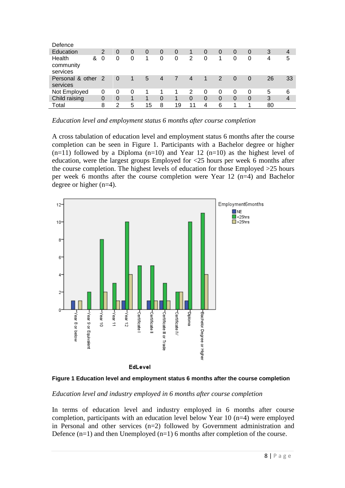| Defence                              |    |          |   |    |          |          |                |   |          |          |   |    |    |
|--------------------------------------|----|----------|---|----|----------|----------|----------------|---|----------|----------|---|----|----|
| Education                            | 2  | 0        | 0 | 0  | $\Omega$ | $\Omega$ |                | 0 | 0        | $\Omega$ | 0 | 3  | 4  |
| Health<br>&<br>community<br>services | 0  | 0        | 0 | 1  | 0        | 0        | 2              | 0 | 1        | 0        | 0 | 4  | 5  |
| Personal & other<br>services         | -2 | $\Omega$ | 1 | 5  | 4        | 7        | $\overline{4}$ |   | 2        | $\Omega$ | 0 | 26 | 33 |
| Not Employed                         | 0  | 0        | 0 |    | 1        |          | 2              | 0 | 0        | 0        | 0 | 5  | 6  |
| Child raising                        | 0  | $\Omega$ | 1 | 1  | $\Omega$ | 1        | $\Omega$       | 0 | $\Omega$ | $\Omega$ | 0 | 3  | 4  |
| Total                                | 8  | 2        | 5 | 15 | 8        | 19       | 11             | 4 | 6        |          | л | 80 |    |

*Education level and employment status 6 months after course completion*

A cross tabulation of education level and employment status 6 months after the course completion can be seen in Figure 1. Participants with a Bachelor degree or higher  $(n=11)$  followed by a Diploma  $(n=10)$  and Year 12  $(n=10)$  as the highest level of education, were the largest groups Employed for <25 hours per week 6 months after the course completion. The highest levels of education for those Employed >25 hours per week 6 months after the course completion were Year 12 (n=4) and Bachelor degree or higher (n=4).





## *Education level and industry employed in 6 months after course completion*

In terms of education level and industry employed in 6 months after course completion, participants with an education level below Year 10 (n=4) were employed in Personal and other services (n=2) followed by Government administration and Defence  $(n=1)$  and then Unemployed  $(n=1)$  6 months after completion of the course.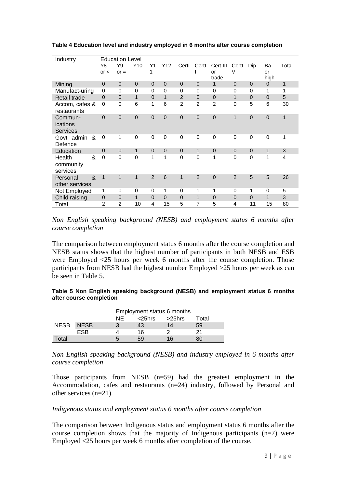| Industry                                                 |                | <b>Education Level</b> |              |                |                |                |                |                |                |                |                |                |
|----------------------------------------------------------|----------------|------------------------|--------------|----------------|----------------|----------------|----------------|----------------|----------------|----------------|----------------|----------------|
|                                                          | Y8             | Y9                     | Y10          | Υ1             | Y12            | Certl          | Certl          | Cert III       | Certl          | Dip            | Ba             | Total          |
|                                                          | or <           | $or =$                 |              | 1              |                |                |                | or             | $\vee$         |                | or             |                |
|                                                          |                |                        |              |                |                |                |                | trade          |                |                | high           |                |
| Mining                                                   | $\Omega$       | $\mathbf 0$            | $\Omega$     | $\overline{0}$ | $\mathbf 0$    | $\Omega$       | $\Omega$       | 1              | $\Omega$       | $\Omega$       | $\Omega$       | $\mathbf{1}$   |
| Manufact-uring                                           | $\Omega$       | 0                      | $\Omega$     | 0              | $\mathbf 0$    | $\Omega$       | 0              | 0              | $\Omega$       | $\Omega$       | 1              | 1              |
| Retail trade                                             | $\Omega$       | $\mathbf 0$            | 1            | $\overline{0}$ | $\mathbf{1}$   | 2              | $\overline{0}$ | $\mathbf 0$    | 1              | $\overline{0}$ | $\Omega$       | 5              |
| Accom, cafes &<br>restaurants                            | 0              | $\mathbf 0$            | 6            | 1              | 6              | $\overline{2}$ | $\overline{2}$ | $\overline{2}$ | $\mathbf 0$    | 5              | 6              | 30             |
| Commun-<br>ications<br>Services                          | $\Omega$       | $\overline{0}$         | $\Omega$     | $\overline{0}$ | $\overline{0}$ | $\overline{0}$ | 0              | 0              | 1              | $\Omega$       | $\overline{0}$ | $\mathbf{1}$   |
| Govt admin<br>&<br>Defence                               | $\Omega$       | 1                      | $\mathbf{0}$ | $\mathbf 0$    | $\mathbf 0$    | 0              | 0              | 0              | $\mathbf 0$    | $\mathbf 0$    | $\mathbf 0$    | 1              |
| Education                                                | $\overline{0}$ | $\overline{0}$         | $\mathbf{1}$ | $\overline{0}$ | $\mathbf 0$    | $\mathbf 0$    | 1              | 0              | $\overline{0}$ | $\overline{0}$ | $\mathbf{1}$   | 3              |
| &<br>Health<br>community<br>services                     | $\mathbf 0$    | $\Omega$               | $\mathbf{0}$ | 1              | 1              | 0              | 0              | 1              | $\Omega$       | $\mathbf 0$    | 1              | $\overline{4}$ |
| $\boldsymbol{\mathcal{S}}$<br>Personal<br>other services | $\mathbf{1}$   | 1                      | 1            | $\overline{2}$ | 6              | 1              | $\overline{2}$ | 0              | $\overline{2}$ | 5              | 5              | 26             |
| Not Employed                                             | 1              | 0                      | 0            | 0              | 1              | 0              | 1              | 1              | $\Omega$       | 1              | 0              | 5              |
| Child raising                                            | $\overline{0}$ | $\mathbf 0$            | 1            | $\overline{0}$ | $\mathbf 0$    | $\Omega$       | 1              | $\Omega$       | $\Omega$       | $\Omega$       | 1              | 3              |
| Total                                                    | $\mathfrak{p}$ | $\overline{2}$         | 10           | 4              | 15             | 5              | 7              | 5              | 4              | 11             | 15             | 80             |

**Table 4 Education level and industry employed in 6 months after course completion**

*Non English speaking background (NESB) and employment status 6 months after course completion*

The comparison between employment status 6 months after the course completion and NESB status shows that the highest number of participants in both NESB and ESB were Employed <25 hours per week 6 months after the course completion. Those participants from NESB had the highest number Employed >25 hours per week as can be seen in Table 5.

| Table 5 Non English speaking background (NESB) and employment status 6 months |  |  |  |  |
|-------------------------------------------------------------------------------|--|--|--|--|
| after course completion                                                       |  |  |  |  |

|             |             |    | Employment status 6 months |        |       |  |  |  |  |  |  |
|-------------|-------------|----|----------------------------|--------|-------|--|--|--|--|--|--|
|             |             | ΝE | $<$ 25 $h$ rs              | >25hrs | Total |  |  |  |  |  |  |
| <b>NESB</b> | <b>NESB</b> |    | 43                         | 14     | 59    |  |  |  |  |  |  |
|             | ESB         |    | 16                         |        | 21    |  |  |  |  |  |  |
| Гоtal       |             | 5  | 59                         | 16     |       |  |  |  |  |  |  |

*Non English speaking background (NESB) and industry employed in 6 months after course completion*

Those participants from NESB (n=59) had the greatest employment in the Accommodation, cafes and restaurants (n=24) industry, followed by Personal and other services (n=21).

#### *Indigenous status and employment status 6 months after course completion*

The comparison between Indigenous status and employment status 6 months after the course completion shows that the majority of Indigenous participants  $(n=7)$  were Employed <25 hours per week 6 months after completion of the course.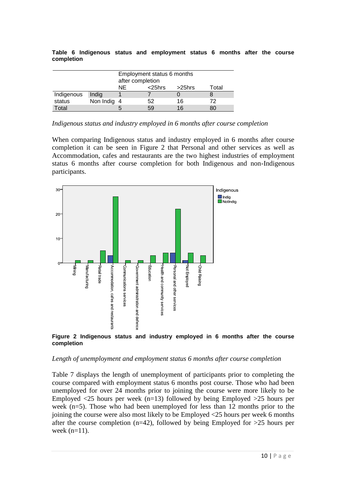|            |  |  | Table 6 Indigenous status and employment status 6 months after the course |  |  |  |
|------------|--|--|---------------------------------------------------------------------------|--|--|--|
| completion |  |  |                                                                           |  |  |  |

|            | Employment status 6 months              |  |    |        |       |  |  |  |  |  |  |
|------------|-----------------------------------------|--|----|--------|-------|--|--|--|--|--|--|
|            | after completion<br>ΝE<br>$<$ 25 $h$ rs |  |    |        |       |  |  |  |  |  |  |
|            |                                         |  |    | >25hrs | Total |  |  |  |  |  |  |
| Indigenous | Indig                                   |  |    |        |       |  |  |  |  |  |  |
| status     | Non Indig 4                             |  | 52 | 16     | 72    |  |  |  |  |  |  |
| Total      |                                         |  | 59 | 16     | 80    |  |  |  |  |  |  |

*Indigenous status and industry employed in 6 months after course completion*

When comparing Indigenous status and industry employed in 6 months after course completion it can be seen in Figure 2 that Personal and other services as well as Accommodation, cafes and restaurants are the two highest industries of employment status 6 months after course completion for both Indigenous and non-Indigenous participants.





#### *Length of unemployment and employment status 6 months after course completion*

Table 7 displays the length of unemployment of participants prior to completing the course compared with employment status 6 months post course. Those who had been unemployed for over 24 months prior to joining the course were more likely to be Employed  $\langle 25 \rangle$  hours per week (n=13) followed by being Employed  $>25$  hours per week (n=5). Those who had been unemployed for less than 12 months prior to the joining the course were also most likely to be Employed <25 hours per week 6 months after the course completion (n=42), followed by being Employed for  $>25$  hours per week (n=11).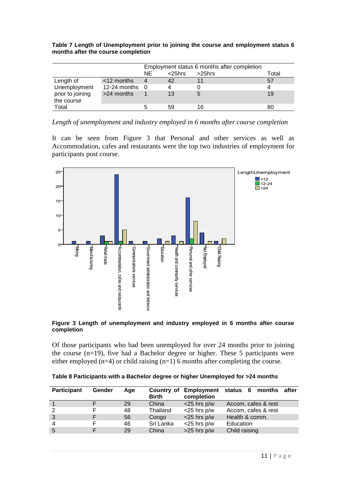|                                |               |     | Employment status 6 months after completion |           |       |  |  |  |  |  |
|--------------------------------|---------------|-----|---------------------------------------------|-----------|-------|--|--|--|--|--|
|                                |               | NE. | $<$ 25 $h$ rs                               | $>25$ hrs | Total |  |  |  |  |  |
| Length of                      | $<$ 12 months | 4   | 42                                          | 11        | 57    |  |  |  |  |  |
| Unemployment                   | 12-24 months  | - 0 | 4                                           |           | 4     |  |  |  |  |  |
| prior to joining<br>the course | $>24$ months  |     | 13                                          |           | 19    |  |  |  |  |  |
| Total                          |               |     | 59                                          | 16        | 80    |  |  |  |  |  |

**Table 7 Length of Unemployment prior to joining the course and employment status 6 months after the course completion** 

*Length of unemployment and industry employed in 6 months after course completion*

It can be seen from Figure 3 that Personal and other services as well as Accommodation, cafes and restaurants were the top two industries of employment for participants post course.



**Figure 3 Length of unemployment and industry employed in 6 months after course completion**

Of those participants who had been unemployed for over 24 months prior to joining the course (n=19), five had a Bachelor degree or higher. These 5 participants were either employed  $(n=4)$  or child raising  $(n=1)$  6 months after completing the course.

| Table 8 Participants with a Bachelor degree or higher Unemployed for >24 months |  |  |  |
|---------------------------------------------------------------------------------|--|--|--|
|---------------------------------------------------------------------------------|--|--|--|

| Participant | Gender | Aae | Country of<br><b>Birth</b> | <b>Employment status 6</b><br>completion | months              | after |
|-------------|--------|-----|----------------------------|------------------------------------------|---------------------|-------|
|             |        | 29  | China                      | $<$ 25 hrs p/w                           | Accom, cafes & rest |       |
|             |        | 48  | Thailand                   | $<$ 25 hrs p/w                           | Accom, cafes & rest |       |
| 3           |        | 56  | Congo                      | $<$ 25 hrs p/w                           | Health & comm.      |       |
| 4           |        | 46  | Sri Lanka                  | $<$ 25 hrs p/w                           | Education           |       |
| 5           |        | 29  | China                      | $>25$ hrs $p/w$                          | Child raising       |       |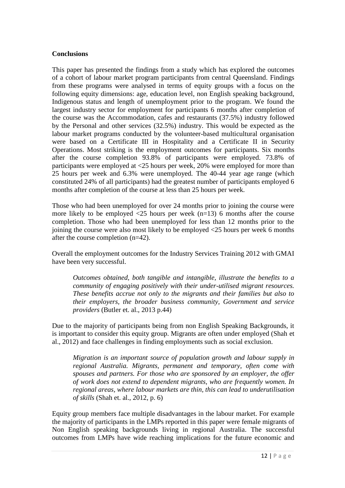#### **Conclusions**

This paper has presented the findings from a study which has explored the outcomes of a cohort of labour market program participants from central Queensland. Findings from these programs were analysed in terms of equity groups with a focus on the following equity dimensions: age, education level, non English speaking background, Indigenous status and length of unemployment prior to the program. We found the largest industry sector for employment for participants 6 months after completion of the course was the Accommodation, cafes and restaurants (37.5%) industry followed by the Personal and other services (32.5%) industry. This would be expected as the labour market programs conducted by the volunteer-based multicultural organisation were based on a Certificate III in Hospitality and a Certificate II in Security Operations. Most striking is the employment outcomes for participants. Six months after the course completion 93.8% of participants were employed. 73.8% of participants were employed at <25 hours per week, 20% were employed for more than 25 hours per week and 6.3% were unemployed. The 40-44 year age range (which constituted 24% of all participants) had the greatest number of participants employed 6 months after completion of the course at less than 25 hours per week.

Those who had been unemployed for over 24 months prior to joining the course were more likely to be employed  $\langle 25 \rangle$  hours per week (n=13) 6 months after the course completion. Those who had been unemployed for less than 12 months prior to the joining the course were also most likely to be employed <25 hours per week 6 months after the course completion (n=42).

Overall the employment outcomes for the Industry Services Training 2012 with GMAI have been very successful.

*Outcomes obtained, both tangible and intangible, illustrate the benefits to a community of engaging positively with their under-utilised migrant resources. These benefits accrue not only to the migrants and their families but also to their employers, the broader business community, Government and service providers* (Butler et. al., 2013 p.44)

Due to the majority of participants being from non English Speaking Backgrounds, it is important to consider this equity group. Migrants are often under employed (Shah et al., 2012) and face challenges in finding employments such as social exclusion.

*Migration is an important source of population growth and labour supply in regional Australia. Migrants, permanent and temporary, often come with spouses and partners. For those who are sponsored by an employer, the offer of work does not extend to dependent migrants, who are frequently women. In regional areas, where labour markets are thin, this can lead to underutilisation of skills* (Shah et. al., 2012, p. 6)

Equity group members face multiple disadvantages in the labour market. For example the majority of participants in the LMPs reported in this paper were female migrants of Non English speaking backgrounds living in regional Australia. The successful outcomes from LMPs have wide reaching implications for the future economic and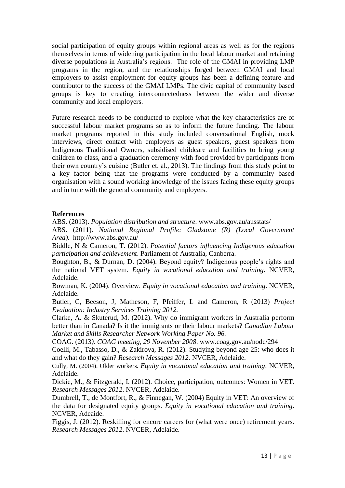social participation of equity groups within regional areas as well as for the regions themselves in terms of widening participation in the local labour market and retaining diverse populations in Australia's regions. The role of the GMAI in providing LMP programs in the region, and the relationships forged between GMAI and local employers to assist employment for equity groups has been a defining feature and contributor to the success of the GMAI LMPs. The civic capital of community based groups is key to creating interconnectedness between the wider and diverse community and local employers.

Future research needs to be conducted to explore what the key characteristics are of successful labour market programs so as to inform the future funding. The labour market programs reported in this study included conversational English, mock interviews, direct contact with employers as guest speakers, guest speakers from Indigenous Traditional Owners, subsidised childcare and facilities to bring young children to class, and a graduation ceremony with food provided by participants from their own country's cuisine (Butler et. al., 2013). The findings from this study point to a key factor being that the programs were conducted by a community based organisation with a sound working knowledge of the issues facing these equity groups and in tune with the general community and employers.

### **References**

ABS. (2013). *Population distribution and structure*. www.abs.gov.au/ausstats/

ABS. (2011). *National Regional Profile: Gladstone (R) (Local Government Area).* http://www.abs.gov.au/

Biddle, N & Cameron, T. (2012). *Potential factors influencing Indigenous education participation and achievement*. Parliament of Australia, Canberra.

Boughton, B., & Durnan, D. (2004). Beyond equity? Indigenous people's rights and the national VET system. *Equity in vocational education and training*. NCVER, Adelaide.

Bowman, K. (2004). Overview. *Equity in vocational education and training*. NCVER, Adelaide.

Butler, C, Beeson, J, Matheson, F, Pfeiffer, L and Cameron, R (2013) *Project Evaluation: Industry Services Training 2012.*

Clarke, A. & Skuterud, M. (2012). Why do immigrant workers in Australia perform better than in Canada? Is it the immigrants or their labour markets? *Canadian Labour Market and Skills Researcher Network Working Paper No. 96.*

COAG. (2013*). COAG meeting, 29 November 2008*. www.coag.gov.au/node/294

Coelli, M., Tabasso, D., & Zakirova, R. (2012). Studying beyond age 25: who does it and what do they gain? *Research Messages 2012*. NVCER, Adelaide.

Cully, M. (2004). Older workers. *Equity in vocational education and training*. NCVER, Adelaide.

Dickie, M., & Fitzgerald, I. (2012). Choice, participation, outcomes: Women in VET*. Research Messages 2012*. NVCER, Adelaide.

Dumbrell, T., de Montfort, R., & Finnegan, W. (2004) Equity in VET: An overview of the data for designated equity groups. *Equity in vocational education and training*. NCVER, Adeaide.

Figgis, J. (2012). Reskilling for encore careers for (what were once) retirement years. *Research Messages 2012*. NVCER, Adelaide.